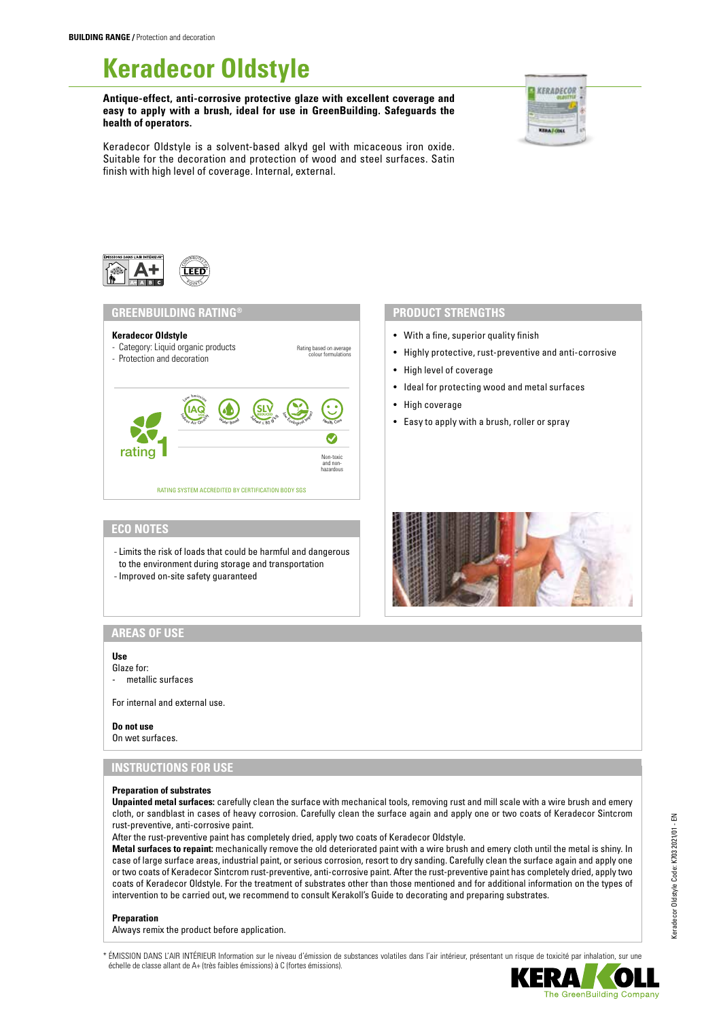# **Keradecor Oldstyle**

**Antique-effect, anti-corrosive protective glaze with excellent coverage and easy to apply with a brush, ideal for use in GreenBuilding. Safeguards the health of operators.**



Keradecor Oldstyle is a solvent-based alkyd gel with micaceous iron oxide. Suitable for the decoration and protection of wood and steel surfaces. Satin finish with high level of coverage. Internal, external.



# **GREENBUILDING RATING® PRODUCT STRENGTHS**

- **Keradecor Oldstyle**
- Category: Liquid organic products
- Rating based on average colour formulations - Protection and decoration Low Emission  $\frac{\mathsf{SLV}}{S_{m-1}}$   $\mathsf{SL}_{\mathbb{C}}$   $\mathsf{GL}_{\mathbb{C}}$   $\mathsf{GL}_{\mathbb{C}}$ **IAQ** <sup>S</sup>olven<sup>t</sup> <sup>≤</sup> <sup>8</sup><sup>0</sup> <sup>g</sup>/ <sup>k</sup><sup>g</sup> W<sup>a</sup>te<sup>r</sup> <sup>B</sup>as<sup>e</sup><sup>d</sup> <sup>H</sup><sup>e</sup>alt<sup>h</sup> <sup>C</sup>ar<sup>e</sup> Ø rating

- With a fine, superior quality finish
- Highly protective, rust-preventive and anti-corrosive
- High level of coverage
- Ideal for protecting wood and metal surfaces
- High coverage
- Easy to apply with a brush, roller or spray



# **ECO NOTES**

- Limits the risk of loads that could be harmful and dangerous to the environment during storage and transportation

RATING SYSTEM ACCREDITED BY CERTIFICATION BODY SGS

Non-toxic and non-hazardous

- Improved on-site safety guaranteed
- 

# **AREAS OF USE**

# **Use**

Glaze for: metallic surfaces

For internal and external use.

#### **Do not use**

On wet surfaces.

# **INSTRUCTIONS FOR USE**

#### **Preparation of substrates**

**Unpainted metal surfaces:** carefully clean the surface with mechanical tools, removing rust and mill scale with a wire brush and emery cloth, or sandblast in cases of heavy corrosion. Carefully clean the surface again and apply one or two coats of Keradecor Sintcrom rust-preventive, anti-corrosive paint.

After the rust-preventive paint has completely dried, apply two coats of Keradecor Oldstyle.

**Metal surfaces to repaint:** mechanically remove the old deteriorated paint with a wire brush and emery cloth until the metal is shiny. In case of large surface areas, industrial paint, or serious corrosion, resort to dry sanding. Carefully clean the surface again and apply one or two coats of Keradecor Sintcrom rust-preventive, anti-corrosive paint. After the rust-preventive paint has completely dried, apply two coats of Keradecor Oldstyle. For the treatment of substrates other than those mentioned and for additional information on the types of intervention to be carried out, we recommend to consult Kerakoll's Guide to decorating and preparing substrates.

#### **Preparation**

Always remix the product before application.

ÉMISSION DANS L'AIR INTÉRIEUR Information sur le niveau d'émission de substances volatiles dans l'air intérieur, présentant un risque de toxicité par inhalation, sur une échelle de classe allant de A+ (très faibles émissions) à C (fortes émissions).